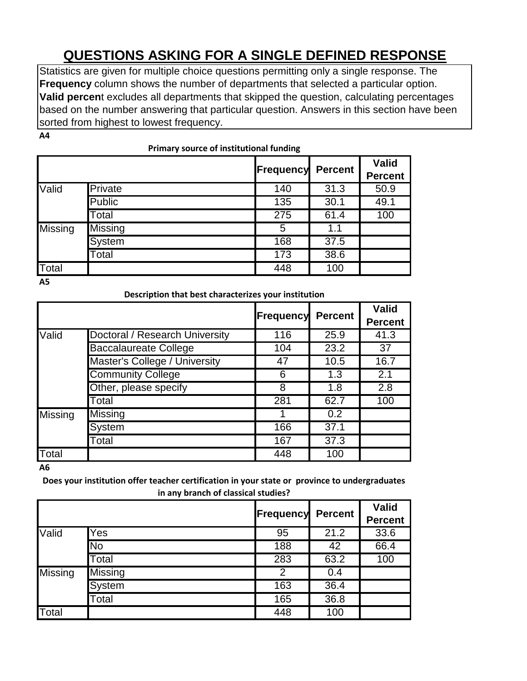# **QUESTIONS ASKING FOR A SINGLE DEFINED RESPONSE**

Statistics are given for multiple choice questions permitting only a single response. The **Frequency** column shows the number of departments that selected a particular option. **Valid percen**t excludes all departments that skipped the question, calculating percentages based on the number answering that particular question. Answers in this section have been sorted from highest to lowest frequency.

**A4**

|                | Primary source of institutional funding |                  |                |                                |  |
|----------------|-----------------------------------------|------------------|----------------|--------------------------------|--|
|                |                                         | <b>Frequency</b> | <b>Percent</b> | <b>Valid</b><br><b>Percent</b> |  |
| Valid          | Private                                 | 140              | 31.3           | 50.9                           |  |
|                | <b>Public</b>                           | 135              | 30.1           | 49.1                           |  |
|                | Total                                   | 275              | 61.4           | 100                            |  |
| <b>Missing</b> | <b>Missing</b>                          | 5                | 1.1            |                                |  |
|                | System                                  | 168              | 37.5           |                                |  |
|                | Total                                   | 173              | 38.6           |                                |  |
| Total          |                                         | 448              | 100            |                                |  |

**A5**

**Description that best characterizes your institution**

|                |                                | <b>Frequency</b> | <b>Percent</b> | <b>Valid</b><br><b>Percent</b> |
|----------------|--------------------------------|------------------|----------------|--------------------------------|
| Valid          | Doctoral / Research University | 116              | 25.9           | 41.3                           |
|                | <b>Baccalaureate College</b>   | 104              | 23.2           | 37                             |
|                | Master's College / University  | 47               | 10.5           | 16.7                           |
|                | <b>Community College</b>       | 6                | 1.3            | 2.1                            |
|                | Other, please specify          | 8                | 1.8            | 2.8                            |
|                | Total                          | 281              | 62.7           | 100                            |
| <b>Missing</b> | <b>Missing</b>                 |                  | 0.2            |                                |
|                | System                         | 166              | 37.1           |                                |
|                | Total                          | 167              | 37.3           |                                |
| <b>T</b> otal  |                                | 448              | 100            |                                |

**A6**

**Does your institution offer teacher certification in your state or province to undergraduates in any branch of classical studies?**

|         |               | <b>Frequency</b> | <b>Percent</b> | <b>Valid</b>   |
|---------|---------------|------------------|----------------|----------------|
|         |               |                  |                | <b>Percent</b> |
| Valid   | Yes           | 95               | 21.2           | 33.6           |
|         | No            | 188              | 42             | 66.4           |
|         | Total         | 283              | 63.2           | 100            |
| Missing | Missing       | 2                | 0.4            |                |
|         | <b>System</b> | 163              | 36.4           |                |
|         | Total         | 165              | 36.8           |                |
| Total   |               | 448              | 100            |                |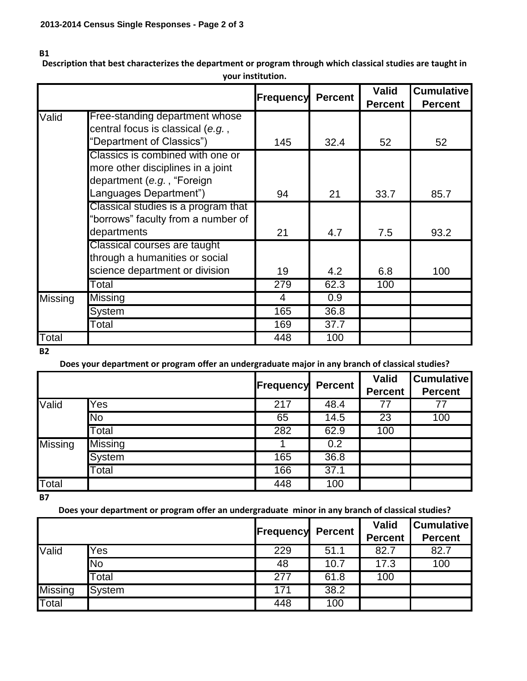#### **B1**

**Description that best characterizes the department or program through which classical studies are taught in your institution.**

|                |                                                                                                                               |           |                | <b>Valid</b>   | <b>Cumulative</b> |
|----------------|-------------------------------------------------------------------------------------------------------------------------------|-----------|----------------|----------------|-------------------|
|                |                                                                                                                               | Frequency | <b>Percent</b> | <b>Percent</b> | <b>Percent</b>    |
| Valid          | Free-standing department whose<br>central focus is classical (e.g.,<br>"Department of Classics")                              | 145       | 32.4           | 52             | 52                |
|                | Classics is combined with one or<br>more other disciplines in a joint<br>department (e.g., "Foreign<br>Languages Department") | 94        | 21             | 33.7           | 85.7              |
|                | Classical studies is a program that<br>"borrows" faculty from a number of<br>departments                                      | 21        | 4.7            | 7.5            | 93.2              |
|                | Classical courses are taught<br>through a humanities or social<br>science department or division                              | 19        | 4.2            | 6.8            | 100               |
|                | Total                                                                                                                         | 279       | 62.3           | 100            |                   |
| <b>Missing</b> | Missing                                                                                                                       | 4         | 0.9            |                |                   |
|                | System                                                                                                                        | 165       | 36.8           |                |                   |
|                | Total                                                                                                                         | 169       | 37.7           |                |                   |
| Total          |                                                                                                                               | 448       | 100            |                |                   |

**B2**

**Does your department or program offer an undergraduate major in any branch of classical studies?**

|              |                | <b>Frequency</b> | <b>Percent</b>    | <b>Valid</b><br><b>Percent</b> | <b>Cumulative</b><br><b>Percent</b> |
|--------------|----------------|------------------|-------------------|--------------------------------|-------------------------------------|
| Valid        | Yes            | 217              | 48.4              | 77                             | 77                                  |
|              | <b>No</b>      | 65               | 14.5              | 23                             | 100                                 |
|              | Total          | 282              | 62.9              | 100                            |                                     |
| Missing      | <b>Missing</b> |                  | 0.2               |                                |                                     |
|              | <b>System</b>  | 165              | 36.8              |                                |                                     |
|              | Total          | 166              | $\overline{37.1}$ |                                |                                     |
| <b>Total</b> |                | 448              | 100               |                                |                                     |

**B7**

**Does your department or program offer an undergraduate minor in any branch of classical studies?**

|                |           | <b>Frequency Percent</b> |      | <b>Valid</b><br><b>Percent</b> | <b>Cumulative</b><br><b>Percent</b> |
|----------------|-----------|--------------------------|------|--------------------------------|-------------------------------------|
| Valid          | Yes       | 229                      | 51.1 | 82.7                           | 82.7                                |
|                | <b>No</b> | 48                       | 10.7 | 17.3                           | 100                                 |
|                | Total     | 277                      | 61.8 | 100                            |                                     |
| <b>Missing</b> | System    | 171                      | 38.2 |                                |                                     |
| Total          |           | 448                      | 100  |                                |                                     |